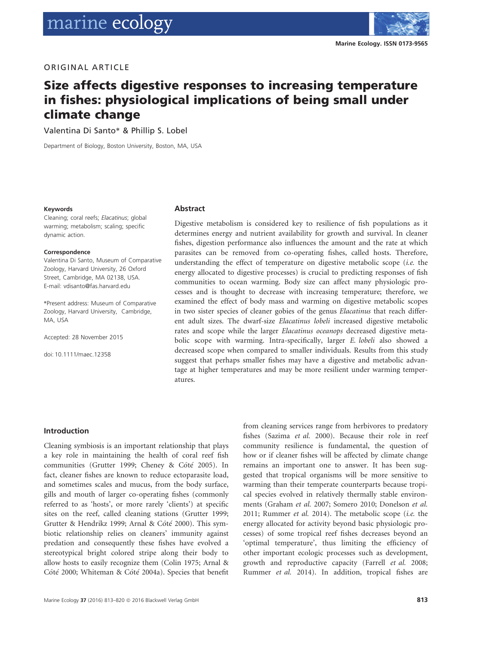

# ORIGINAL ARTICLE

# Size affects digestive responses to increasing temperature in fishes: physiological implications of being small under climate change

Valentina Di Santo\* & Phillip S. Lobel

Department of Biology, Boston University, Boston, MA, USA

#### Keywords

Cleaning; coral reefs; Elacatinus; global warming; metabolism; scaling; specific dynamic action.

#### Correspondence

Valentina Di Santo, Museum of Comparative Zoology, Harvard University, 26 Oxford Street, Cambridge, MA 02138, USA. E-mail: vdisanto@fas.harvard.edu

\*Present address: Museum of Comparative Zoology, Harvard University, Cambridge, MA, USA

Accepted: 28 November 2015

doi: 10.1111/maec.12358

#### Abstract

Digestive metabolism is considered key to resilience of fish populations as it determines energy and nutrient availability for growth and survival. In cleaner fishes, digestion performance also influences the amount and the rate at which parasites can be removed from co-operating fishes, called hosts. Therefore, understanding the effect of temperature on digestive metabolic scope (*i.e.* the energy allocated to digestive processes) is crucial to predicting responses of fish communities to ocean warming. Body size can affect many physiologic processes and is thought to decrease with increasing temperature; therefore, we examined the effect of body mass and warming on digestive metabolic scopes in two sister species of cleaner gobies of the genus Elacatinus that reach different adult sizes. The dwarf-size Elacatinus lobeli increased digestive metabolic rates and scope while the larger *Elacatinus oceanops* decreased digestive metabolic scope with warming. Intra-specifically, larger E. lobeli also showed a decreased scope when compared to smaller individuals. Results from this study suggest that perhaps smaller fishes may have a digestive and metabolic advantage at higher temperatures and may be more resilient under warming temperatures.

## Introduction

Cleaning symbiosis is an important relationship that plays a key role in maintaining the health of coral reef fish communities (Grutter 1999; Cheney & Côté 2005). In fact, cleaner fishes are known to reduce ectoparasite load, and sometimes scales and mucus, from the body surface, gills and mouth of larger co-operating fishes (commonly referred to as 'hosts', or more rarely 'clients') at specific sites on the reef, called cleaning stations (Grutter 1999; Grutter & Hendrikz 1999; Arnal & Côté 2000). This symbiotic relationship relies on cleaners' immunity against predation and consequently these fishes have evolved a stereotypical bright colored stripe along their body to allow hosts to easily recognize them (Colin 1975; Arnal & Côté 2000; Whiteman & Côté 2004a). Species that benefit

from cleaning services range from herbivores to predatory fishes (Sazima et al. 2000). Because their role in reef community resilience is fundamental, the question of how or if cleaner fishes will be affected by climate change remains an important one to answer. It has been suggested that tropical organisms will be more sensitive to warming than their temperate counterparts because tropical species evolved in relatively thermally stable environments (Graham et al. 2007; Somero 2010; Donelson et al. 2011; Rummer et al. 2014). The metabolic scope (i.e. the energy allocated for activity beyond basic physiologic processes) of some tropical reef fishes decreases beyond an 'optimal temperature', thus limiting the efficiency of other important ecologic processes such as development, growth and reproductive capacity (Farrell et al. 2008; Rummer et al. 2014). In addition, tropical fishes are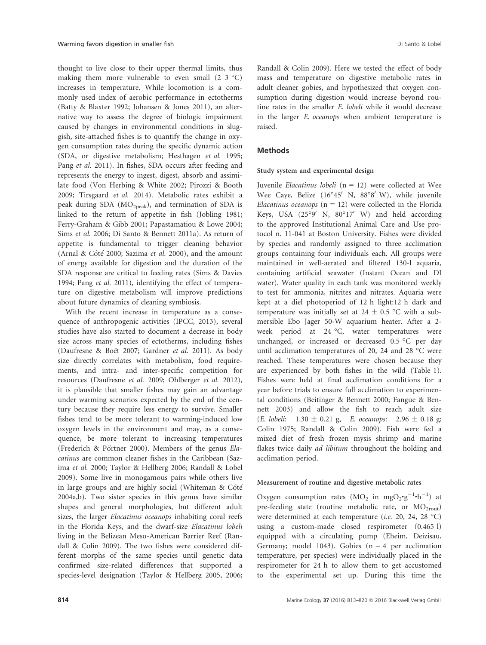thought to live close to their upper thermal limits, thus making them more vulnerable to even small  $(2-3 \degree C)$ increases in temperature. While locomotion is a commonly used index of aerobic performance in ectotherms (Batty & Blaxter 1992; Johansen & Jones 2011), an alternative way to assess the degree of biologic impairment caused by changes in environmental conditions in sluggish, site-attached fishes is to quantify the change in oxygen consumption rates during the specific dynamic action (SDA, or digestive metabolism; Hesthagen et al. 1995; Pang et al. 2011). In fishes, SDA occurs after feeding and represents the energy to ingest, digest, absorb and assimilate food (Von Herbing & White 2002; Pirozzi & Booth 2009; Tirsgaard et al. 2014). Metabolic rates exhibit a peak during SDA ( $MO_{2peak}$ ), and termination of SDA is linked to the return of appetite in fish (Jobling 1981; Ferry-Graham & Gibb 2001; Papastamatiou & Lowe 2004; Sims et al. 2006; Di Santo & Bennett 2011a). As return of appetite is fundamental to trigger cleaning behavior (Arnal & Côté 2000; Sazima et al. 2000), and the amount of energy available for digestion and the duration of the SDA response are critical to feeding rates (Sims & Davies 1994; Pang et al. 2011), identifying the effect of temperature on digestive metabolism will improve predictions about future dynamics of cleaning symbiosis.

With the recent increase in temperature as a consequence of anthropogenic activities (IPCC, 2013), several studies have also started to document a decrease in body size across many species of ectotherms, including fishes (Daufresne & Boët 2007; Gardner et al. 2011). As body size directly correlates with metabolism, food requirements, and intra- and inter-specific competition for resources (Daufresne et al. 2009; Ohlberger et al. 2012), it is plausible that smaller fishes may gain an advantage under warming scenarios expected by the end of the century because they require less energy to survive. Smaller fishes tend to be more tolerant to warming-induced low oxygen levels in the environment and may, as a consequence, be more tolerant to increasing temperatures (Frederich & Pörtner 2000). Members of the genus Elacatinus are common cleaner fishes in the Caribbean (Sazima et al. 2000; Taylor & Hellberg 2006; Randall & Lobel 2009). Some live in monogamous pairs while others live in large groups and are highly social (Whiteman & Côté 2004a,b). Two sister species in this genus have similar shapes and general morphologies, but different adult sizes, the larger Elacatinus oceanops inhabiting coral reefs in the Florida Keys, and the dwarf-size Elacatinus lobeli living in the Belizean Meso-American Barrier Reef (Randall & Colin 2009). The two fishes were considered different morphs of the same species until genetic data confirmed size-related differences that supported a species-level designation (Taylor & Hellberg 2005, 2006;

Randall & Colin 2009). Here we tested the effect of body mass and temperature on digestive metabolic rates in adult cleaner gobies, and hypothesized that oxygen consumption during digestion would increase beyond routine rates in the smaller E. lobeli while it would decrease in the larger E. oceanops when ambient temperature is raised.

## Methods

#### Study system and experimental design

Juvenile *Elacatinus lobeli* ( $n = 12$ ) were collected at Wee Wee Caye, Belize (16°45' N, 88°8' W), while juvenile Elacatinus oceanops ( $n = 12$ ) were collected in the Florida Keys, USA (25°9' N, 80°17' W) and held according to the approved Institutional Animal Care and Use protocol n. 11-041 at Boston University. Fishes were divided by species and randomly assigned to three acclimation groups containing four individuals each. All groups were maintained in well-aerated and filtered 130-l aquaria, containing artificial seawater (Instant Ocean and DI water). Water quality in each tank was monitored weekly to test for ammonia, nitrites and nitrates. Aquaria were kept at a diel photoperiod of 12 h light:12 h dark and temperature was initially set at  $24 \pm 0.5$  °C with a submersible Ebo Jager 50-W aquarium heater. After a 2 week period at 24 °C, water temperatures were unchanged, or increased or decreased 0.5 °C per day until acclimation temperatures of 20, 24 and 28 °C were reached. These temperatures were chosen because they are experienced by both fishes in the wild (Table 1). Fishes were held at final acclimation conditions for a year before trials to ensure full acclimation to experimental conditions (Beitinger & Bennett 2000; Fangue & Bennett 2003) and allow the fish to reach adult size  $(E. \; \text{lobeli:} \quad 1.30 \pm 0.21 \; \text{g}, \quad E. \; \text{oceanops:} \quad 2.96 \pm 0.18 \; \text{g};$ Colin 1975; Randall & Colin 2009). Fish were fed a mixed diet of fresh frozen mysis shrimp and marine flakes twice daily ad libitum throughout the holding and acclimation period.

### Measurement of routine and digestive metabolic rates

Oxygen consumption rates (MO<sub>2</sub> in mgO<sub>2</sub>•g<sup>-1</sup>•h<sup>-1</sup>) at pre-feeding state (routine metabolic rate, or  $MO_{2\text{rout}}$ ) were determined at each temperature (i.e. 20, 24, 28 °C) using a custom-made closed respirometer (0.465 l) equipped with a circulating pump (Eheim, Deizisau, Germany; model 1043). Gobies  $(n = 4$  per acclimation temperature, per species) were individually placed in the respirometer for 24 h to allow them to get accustomed to the experimental set up. During this time the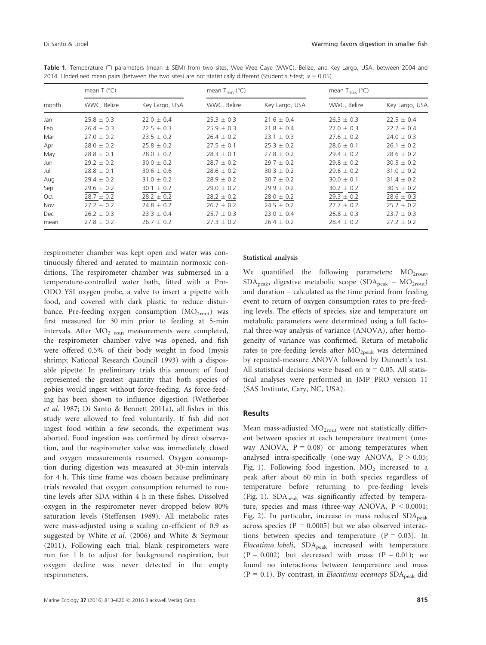| month      | mean $T$ ( $^{\circ}$ C) |                | mean $T_{min}$ ( $°C$ ) |                | mean $T_{\text{max}}$ (°C) |                |
|------------|--------------------------|----------------|-------------------------|----------------|----------------------------|----------------|
|            | WWC, Belize              | Key Largo, USA | WWC, Belize             | Key Largo, USA | WWC, Belize                | Key Largo, USA |
| Jan        | $25.8 \pm 0.3$           | $22.0 \pm 0.4$ | $25.3 \pm 0.3$          | $21.6 \pm 0.4$ | $26.3 \pm 0.3$             | $22.5 \pm 0.4$ |
| Feb        | $26.4 \pm 0.3$           | $22.5 \pm 0.3$ | $25.9 \pm 0.3$          | $21.8 \pm 0.4$ | $27.0 \pm 0.3$             | $22.7 \pm 0.4$ |
| Mar        | $27.0 \pm 0.2$           | $23.5 \pm 0.2$ | $26.4 \pm 0.2$          | $23.1 \pm 0.3$ | $27.6 \pm 0.2$             | $24.0 \pm 0.3$ |
| Apr        | $28.0 \pm 0.2$           | $25.8 \pm 0.2$ | $27.5 \pm 0.1$          | $25.3 \pm 0.2$ | $28.6 \pm 0.1$             | $26.1 \pm 0.2$ |
| May        | $28.8 \pm 0.1$           | $28.0 \pm 0.2$ | $28.3 \pm 0.1$          | $27.8 \pm 0.2$ | $29.4 \pm 0.2$             | $28.6 \pm 0.2$ |
| Jun        | $29.2 \pm 0.2$           | $30.0 \pm 0.2$ | $28.7 \pm 0.2$          | $29.7 \pm 0.2$ | $29.8 \pm 0.2$             | $30.5 \pm 0.2$ |
| Jul        | $28.8 \pm 0.1$           | $30.6 \pm 0.6$ | $28.6 \pm 0.2$          | $30.3 \pm 0.2$ | $29.6 \pm 0.2$             | $31.0 \pm 0.2$ |
| Aug        | $29.4 \pm 0.2$           | $31.0 \pm 0.2$ | $28.9 \pm 0.2$          | $30.7 \pm 0.2$ | $30.0 \pm 0.1$             | $31.4 \pm 0.2$ |
| Sep        | $29.6 \pm 0.2$           | $30.1 \pm 0.2$ | $29.0 \pm 0.2$          | $29.9 \pm 0.2$ | $30.2 \pm 0.2$             | $30.5 \pm 0.2$ |
| Oct        | $28.7 \pm 0.2$           | $28.2 \pm 0.2$ | $28.2 \pm 0.2$          | $28.0 \pm 0.2$ | $29.3 \pm 0.2$             | $28.6 \pm 0.3$ |
| Nov        | $27.2 \pm 0.2$           | $24.8 \pm 0.2$ | $26.7 \pm 0.2$          | $24.5 \pm 0.2$ | $27.7 \pm 0.2$             | $25.2 \pm 0.2$ |
| <b>Dec</b> | $26.2 \pm 0.3$           | $23.3 \pm 0.4$ | $25.7 \pm 0.3$          | $23.0 \pm 0.4$ | $26.8 \pm 0.3$             | $23.7 \pm 0.3$ |
| mean       | $27.8 \pm 0.2$           | $26.7 \pm 0.2$ | $27.3 \pm 0.2$          | $26.4 \pm 0.2$ | $28.4 \pm 0.2$             | $27.2 \pm 0.2$ |

**Table 1.** Temperature (T) parameters (mean  $\pm$  SEM) from two sites, Wee Wee Caye (WWC), Belize, and Key Largo, USA, between 2004 and 2014. Underlined mean pairs (between the two sites) are not statistically different (Student's t-test;  $\alpha$  = 0.05).

respirometer chamber was kept open and water was continuously filtered and aerated to maintain normoxic conditions. The respirometer chamber was submersed in a temperature-controlled water bath, fitted with a Pro-ODO YSI oxygen probe, a valve to insert a pipette with food, and covered with dark plastic to reduce disturbance. Pre-feeding oxygen consumption  $(MO<sub>2</sub>_{\text{out}})$  was first measured for 30 min prior to feeding at 5-min intervals. After  $MO_{2\text{rout}}$  measurements were completed, the respirometer chamber valve was opened, and fish were offered 0.5% of their body weight in food (mysis shrimp; National Research Council 1993) with a disposable pipette. In preliminary trials this amount of food represented the greatest quantity that both species of gobies would ingest without force-feeding. As force-feeding has been shown to influence digestion (Wetherbee et al. 1987; Di Santo & Bennett 2011a), all fishes in this study were allowed to feed voluntarily. If fish did not ingest food within a few seconds, the experiment was aborted. Food ingestion was confirmed by direct observation, and the respirometer valve was immediately closed and oxygen measurements resumed. Oxygen consumption during digestion was measured at 30-min intervals for 4 h. This time frame was chosen because preliminary trials revealed that oxygen consumption returned to routine levels after SDA within 4 h in these fishes. Dissolved oxygen in the respirometer never dropped below 80% saturation levels (Steffensen 1989). All metabolic rates were mass-adjusted using a scaling co-efficient of 0.9 as suggested by White et al. (2006) and White & Seymour (2011). Following each trial, blank respirometers were run for 1 h to adjust for background respiration, but oxygen decline was never detected in the empty respirometers.

#### Statistical analysis

We quantified the following parameters:  $MO_{2\text{rout}}$ ,  $SDA<sub>peak</sub>$ , digestive metabolic scope ( $SDA<sub>peak</sub> - MO<sub>2</sub>$ <sub>nout</sub>) and duration – calculated as the time period from feeding event to return of oxygen consumption rates to pre-feeding levels. The effects of species, size and temperature on metabolic parameters were determined using a full factorial three-way analysis of variance (ANOVA), after homogeneity of variance was confirmed. Return of metabolic rates to pre-feeding levels after MO<sub>2peak</sub> was determined by repeated-measure ANOVA followed by Dunnett's test. All statistical decisions were based on  $\alpha = 0.05$ . All statistical analyses were performed in JMP PRO version 11 (SAS Institute, Cary, NC, USA).

### Results

Mean mass-adjusted  $MO_{2\text{rout}}$  were not statistically different between species at each temperature treatment (oneway ANOVA,  $P = 0.08$ ) or among temperatures when analysed intra-specifically (one-way ANOVA,  $P > 0.05$ ; Fig. 1). Following food ingestion,  $MO<sub>2</sub>$  increased to a peak after about 60 min in both species regardless of temperature before returning to pre-feeding levels (Fig. 1).  $SDA<sub>peak</sub>$  was significantly affected by temperature, species and mass (three-way ANOVA, P < 0.0001; Fig. 2). In particular, increase in mass reduced SDA<sub>peak</sub> across species ( $P = 0.0005$ ) but we also observed interactions between species and temperature  $(P = 0.03)$ . In Elacatinus lobeli, SDA<sub>peak</sub> increased with temperature  $(P = 0.002)$  but decreased with mass  $(P = 0.01)$ ; we found no interactions between temperature and mass  $(P = 0.1)$ . By contrast, in *Elacatinus oceanops* SDA<sub>peak</sub> did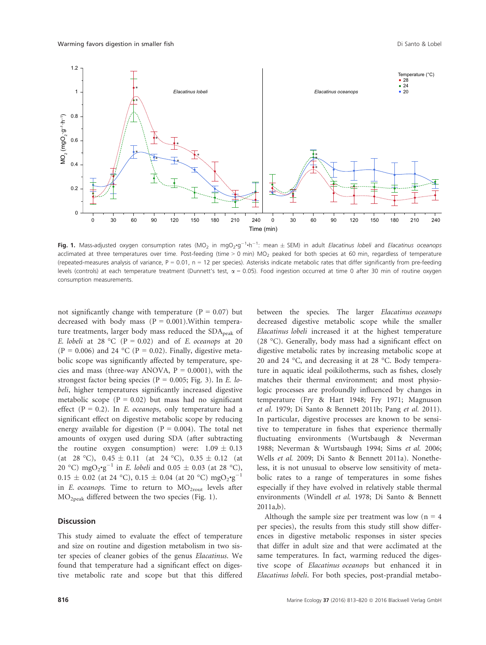

Fig. 1. Mass-adjusted oxygen consumption rates (MO<sub>2</sub> in mgO<sub>2</sub>•g<sup>-1</sup>•h<sup>-1</sup>: mean ± SEM) in adult *Elacatinus lobeli* and *Elacatinus oceanops* acclimated at three temperatures over time. Post-feeding (time > 0 min) MO<sub>2</sub> peaked for both species at 60 min, regardless of temperature (repeated-measures analysis of variance,  $P = 0.01$ ,  $n = 12$  per species). Asterisks indicate metabolic rates that differ significantly from pre-feeding levels (controls) at each temperature treatment (Dunnett's test,  $\alpha = 0.05$ ). Food ingestion occurred at time 0 after 30 min of routine oxygen consumption measurements.

not significantly change with temperature  $(P = 0.07)$  but decreased with body mass  $(P = 0.001)$ . Within temperature treatments, larger body mass reduced the  $SDA<sub>peak</sub>$  of E. lobeli at 28 °C ( $P = 0.02$ ) and of E. oceanops at 20 (P = 0.006) and 24 °C (P = 0.02). Finally, digestive metabolic scope was significantly affected by temperature, species and mass (three-way ANOVA,  $P = 0.0001$ ), with the strongest factor being species ( $P = 0.005$ ; Fig. 3). In E. lobeli, higher temperatures significantly increased digestive metabolic scope ( $P = 0.02$ ) but mass had no significant effect ( $P = 0.2$ ). In *E. oceanops*, only temperature had a significant effect on digestive metabolic scope by reducing energy available for digestion ( $P = 0.004$ ). The total net amounts of oxygen used during SDA (after subtracting the routine oxygen consumption) were:  $1.09 \pm 0.13$ (at 28 °C),  $0.45 \pm 0.11$  (at 24 °C),  $0.35 \pm 0.12$  (at 20 °C) mgO<sub>2</sub>•g<sup>-1</sup> in *E. lobeli* and 0.05 ± 0.03 (at 28 °C),  $0.15 \pm 0.02$  (at 24 °C),  $0.15 \pm 0.04$  (at 20 °C) mgO<sub>2</sub>•g<sup>-1</sup> in E. oceanops. Time to return to  $MO_{2\text{rout}}$  levels after MO2peak differed between the two species (Fig. 1).

## Discussion

This study aimed to evaluate the effect of temperature and size on routine and digestion metabolism in two sister species of cleaner gobies of the genus Elacatinus. We found that temperature had a significant effect on digestive metabolic rate and scope but that this differed between the species. The larger Elacatinus oceanops decreased digestive metabolic scope while the smaller Elacatinus lobeli increased it at the highest temperature (28 °C). Generally, body mass had a significant effect on digestive metabolic rates by increasing metabolic scope at 20 and 24 °C, and decreasing it at 28 °C. Body temperature in aquatic ideal poikilotherms, such as fishes, closely matches their thermal environment; and most physiologic processes are profoundly influenced by changes in temperature (Fry & Hart 1948; Fry 1971; Magnuson et al. 1979; Di Santo & Bennett 2011b; Pang et al. 2011). In particular, digestive processes are known to be sensitive to temperature in fishes that experience thermally fluctuating environments (Wurtsbaugh & Neverman 1988; Neverman & Wurtsbaugh 1994; Sims et al. 2006; Wells et al. 2009; Di Santo & Bennett 2011a). Nonetheless, it is not unusual to observe low sensitivity of metabolic rates to a range of temperatures in some fishes especially if they have evolved in relatively stable thermal environments (Windell et al. 1978; Di Santo & Bennett 2011a,b).

Although the sample size per treatment was low ( $n = 4$ ) per species), the results from this study still show differences in digestive metabolic responses in sister species that differ in adult size and that were acclimated at the same temperatures. In fact, warming reduced the digestive scope of Elacatinus oceanops but enhanced it in Elacatinus lobeli. For both species, post-prandial metabo-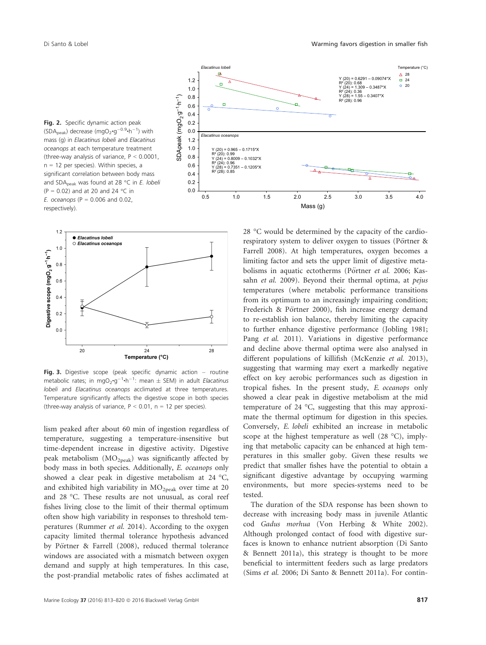



Fig. 3. Digestive scope (peak specific dynamic action – routine metabolic rates; in mgO<sub>2</sub>∙g<sup>-1</sup>•h<sup>-1</sup>: mean  $\pm$  SEM) in adult *Elacatinus* lobeli and Elacatinus oceanops acclimated at three temperatures. Temperature significantly affects the digestive scope in both species (three-way analysis of variance,  $P < 0.01$ ,  $n = 12$  per species).

lism peaked after about 60 min of ingestion regardless of temperature, suggesting a temperature-insensitive but time-dependent increase in digestive activity. Digestive peak metabolism (MO<sub>2peak</sub>) was significantly affected by body mass in both species. Additionally, E. oceanops only showed a clear peak in digestive metabolism at 24 °C, and exhibited high variability in  $MO_{2peak}$  over time at 20 and 28 °C. These results are not unusual, as coral reef fishes living close to the limit of their thermal optimum often show high variability in responses to threshold temperatures (Rummer et al. 2014). According to the oxygen capacity limited thermal tolerance hypothesis advanced by Pörtner & Farrell (2008), reduced thermal tolerance windows are associated with a mismatch between oxygen demand and supply at high temperatures. In this case, the post-prandial metabolic rates of fishes acclimated at



28 °C would be determined by the capacity of the cardiorespiratory system to deliver oxygen to tissues (Pörtner & Farrell 2008). At high temperatures, oxygen becomes a limiting factor and sets the upper limit of digestive metabolisms in aquatic ectotherms (Pörtner et al. 2006; Kassahn et al. 2009). Beyond their thermal optima, at pejus temperatures (where metabolic performance transitions from its optimum to an increasingly impairing condition; Frederich & Pörtner 2000), fish increase energy demand to re-establish ion balance, thereby limiting the capacity to further enhance digestive performance (Jobling 1981; Pang et al. 2011). Variations in digestive performance and decline above thermal optima were also analysed in different populations of killifish (McKenzie et al. 2013), suggesting that warming may exert a markedly negative effect on key aerobic performances such as digestion in tropical fishes. In the present study, E. oceanops only showed a clear peak in digestive metabolism at the mid temperature of 24 °C, suggesting that this may approximate the thermal optimum for digestion in this species. Conversely, E. lobeli exhibited an increase in metabolic scope at the highest temperature as well  $(28 \text{ °C})$ , implying that metabolic capacity can be enhanced at high temperatures in this smaller goby. Given these results we predict that smaller fishes have the potential to obtain a significant digestive advantage by occupying warming environments, but more species-systems need to be tested.

The duration of the SDA response has been shown to decrease with increasing body mass in juvenile Atlantic cod Gadus morhua (Von Herbing & White 2002). Although prolonged contact of food with digestive surfaces is known to enhance nutrient absorption (Di Santo & Bennett 2011a), this strategy is thought to be more beneficial to intermittent feeders such as large predators (Sims et al. 2006; Di Santo & Bennett 2011a). For contin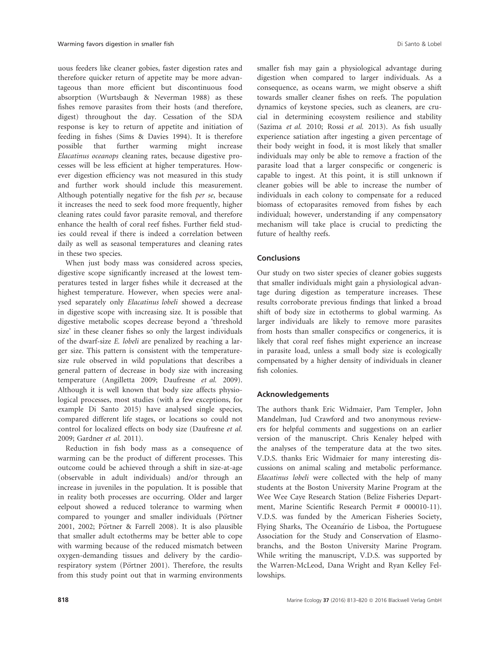uous feeders like cleaner gobies, faster digestion rates and therefore quicker return of appetite may be more advantageous than more efficient but discontinuous food absorption (Wurtsbaugh & Neverman 1988) as these fishes remove parasites from their hosts (and therefore, digest) throughout the day. Cessation of the SDA response is key to return of appetite and initiation of feeding in fishes (Sims & Davies 1994). It is therefore possible that further warming might increase Elacatinus oceanops cleaning rates, because digestive processes will be less efficient at higher temperatures. However digestion efficiency was not measured in this study and further work should include this measurement. Although potentially negative for the fish per se, because it increases the need to seek food more frequently, higher cleaning rates could favor parasite removal, and therefore enhance the health of coral reef fishes. Further field studies could reveal if there is indeed a correlation between daily as well as seasonal temperatures and cleaning rates in these two species.

When just body mass was considered across species, digestive scope significantly increased at the lowest temperatures tested in larger fishes while it decreased at the highest temperature. However, when species were analysed separately only Elacatinus lobeli showed a decrease in digestive scope with increasing size. It is possible that digestive metabolic scopes decrease beyond a 'threshold size' in these cleaner fishes so only the largest individuals of the dwarf-size E. lobeli are penalized by reaching a larger size. This pattern is consistent with the temperaturesize rule observed in wild populations that describes a general pattern of decrease in body size with increasing temperature (Angilletta 2009; Daufresne et al. 2009). Although it is well known that body size affects physiological processes, most studies (with a few exceptions, for example Di Santo 2015) have analysed single species, compared different life stages, or locations so could not control for localized effects on body size (Daufresne et al. 2009; Gardner et al. 2011).

Reduction in fish body mass as a consequence of warming can be the product of different processes. This outcome could be achieved through a shift in size-at-age (observable in adult individuals) and/or through an increase in juveniles in the population. It is possible that in reality both processes are occurring. Older and larger eelpout showed a reduced tolerance to warming when compared to younger and smaller individuals (Pörtner 2001, 2002; Pörtner & Farrell 2008). It is also plausible that smaller adult ectotherms may be better able to cope with warming because of the reduced mismatch between oxygen-demanding tissues and delivery by the cardiorespiratory system (Pörtner 2001). Therefore, the results from this study point out that in warming environments

smaller fish may gain a physiological advantage during digestion when compared to larger individuals. As a consequence, as oceans warm, we might observe a shift towards smaller cleaner fishes on reefs. The population dynamics of keystone species, such as cleaners, are crucial in determining ecosystem resilience and stability (Sazima et al. 2010; Rossi et al. 2013). As fish usually experience satiation after ingesting a given percentage of their body weight in food, it is most likely that smaller individuals may only be able to remove a fraction of the parasite load that a larger conspecific or congeneric is capable to ingest. At this point, it is still unknown if cleaner gobies will be able to increase the number of individuals in each colony to compensate for a reduced biomass of ectoparasites removed from fishes by each individual; however, understanding if any compensatory mechanism will take place is crucial to predicting the future of healthy reefs.

## Conclusions

Our study on two sister species of cleaner gobies suggests that smaller individuals might gain a physiological advantage during digestion as temperature increases. These results corroborate previous findings that linked a broad shift of body size in ectotherms to global warming. As larger individuals are likely to remove more parasites from hosts than smaller conspecifics or congenerics, it is likely that coral reef fishes might experience an increase in parasite load, unless a small body size is ecologically compensated by a higher density of individuals in cleaner fish colonies.

## Acknowledgements

The authors thank Eric Widmaier, Pam Templer, John Mandelman, Jud Crawford and two anonymous reviewers for helpful comments and suggestions on an earlier version of the manuscript. Chris Kenaley helped with the analyses of the temperature data at the two sites. V.D.S. thanks Eric Widmaier for many interesting discussions on animal scaling and metabolic performance. Elacatinus lobeli were collected with the help of many students at the Boston University Marine Program at the Wee Wee Caye Research Station (Belize Fisheries Department, Marine Scientific Research Permit # 000010-11). V.D.S. was funded by the American Fisheries Society, Flying Sharks, The Oceanário de Lisboa, the Portuguese Association for the Study and Conservation of Elasmobranchs, and the Boston University Marine Program. While writing the manuscript, V.D.S. was supported by the Warren-McLeod, Dana Wright and Ryan Kelley Fellowships.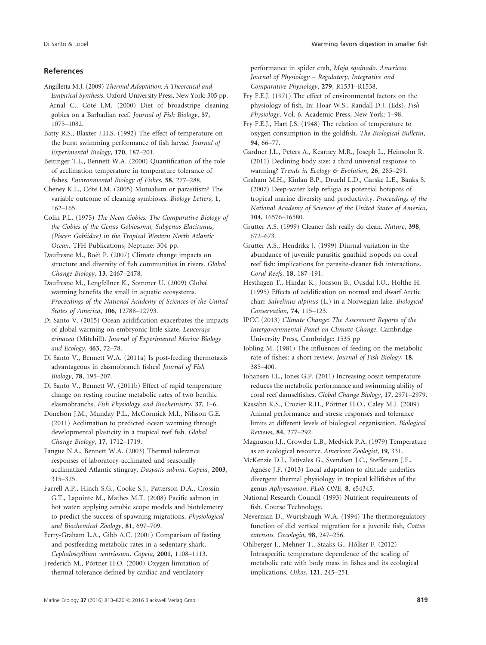#### References

Angilletta M.J. (2009) Thermal Adaptation: A Theoretical and Empirical Synthesis. Oxford University Press, New York: 305 pp. Arnal C., Côté I.M. (2000) Diet of broadstripe cleaning gobies on a Barbadian reef. Journal of Fish Biology, 57, 1075–1082.

Batty R.S., Blaxter J.H.S. (1992) The effect of temperature on the burst swimming performance of fish larvae. Journal of Experimental Biology, 170, 187–201.

Beitinger T.L., Bennett W.A. (2000) Quantification of the role of acclimation temperature in temperature tolerance of fishes. Environmental Biology of Fishes, 58, 277–288.

Cheney K.L., Côté I.M. (2005) Mutualism or parasitism? The variable outcome of cleaning symbioses. Biology Letters, 1, 162–165.

Colin P.L. (1975) The Neon Gobies: The Comparative Biology of the Gobies of the Genus Gobiosoma, Subgenus Elacitunus, (Pisces: Gobiidae) in the Tropical Western North Atlantic Ocean. TFH Publications, Neptune: 304 pp.

Daufresne M., Boët P. (2007) Climate change impacts on structure and diversity of fish communities in rivers. Global Change Biology, 13, 2467–2478.

Daufresne M., Lengfellner K., Sommer U. (2009) Global warming benefits the small in aquatic ecosystems. Proceedings of the National Academy of Sciences of the United States of America, 106, 12788–12793.

Di Santo V. (2015) Ocean acidification exacerbates the impacts of global warming on embryonic little skate, Leucoraja erinacea (Mitchill). Journal of Experimental Marine Biology and Ecology, 463, 72–78.

Di Santo V., Bennett W.A. (2011a) Is post-feeding thermotaxis advantageous in elasmobranch fishes? Journal of Fish Biology, 78, 195–207.

Di Santo V., Bennett W. (2011b) Effect of rapid temperature change on resting routine metabolic rates of two benthic elasmobranchs. Fish Physiology and Biochemistry, 37, 1–6.

Donelson J.M., Munday P.L., McCormick M.I., Nilsson G.E. (2011) Acclimation to predicted ocean warming through developmental plasticity in a tropical reef fish. Global Change Biology, 17, 1712–1719.

Fangue N.A., Bennett W.A. (2003) Thermal tolerance responses of laboratory-acclimated and seasonally acclimatized Atlantic stingray, Dasyatis sabina. Copeia, 2003, 315–325.

Farrell A.P., Hinch S.G., Cooke S.J., Patterson D.A., Crossin G.T., Lapointe M., Mathes M.T. (2008) Pacific salmon in hot water: applying aerobic scope models and biotelemetry to predict the success of spawning migrations. Physiological and Biochemical Zoology, 81, 697–709.

Ferry-Graham L.A., Gibb A.C. (2001) Comparison of fasting and postfeeding metabolic rates in a sedentary shark, Cephaloscyllium ventriosum. Copeia, 2001, 1108–1113.

Frederich M., Pörtner H.O. (2000) Oxygen limitation of thermal tolerance defined by cardiac and ventilatory

performance in spider crab, Maja squinado. American Journal of Physiology – Regulatory, Integrative and Comparative Physiology, 279, R1531–R1538.

Fry F.E.J. (1971) The effect of environmental factors on the physiology of fish. In: Hoar W.S., Randall D.J. (Eds), Fish Physiology, Vol. 6. Academic Press, New York: 1–98.

Fry F.E.J., Hart J.S. (1948) The relation of temperature to oxygen consumption in the goldfish. The Biological Bulletin, 94, 66–77.

Gardner J.L., Peters A., Kearney M.R., Joseph L., Heinsohn R. (2011) Declining body size: a third universal response to warming? Trends in Ecology & Evolution, 26, 285–291.

Graham M.H., Kinlan B.P., Druehl L.D., Garske L.E., Banks S. (2007) Deep-water kelp refugia as potential hotspots of tropical marine diversity and productivity. Proceedings of the National Academy of Sciences of the United States of America, 104, 16576–16580.

Grutter A.S. (1999) Cleaner fish really do clean. Nature, 398, 672–673.

Grutter A.S., Hendrikz J. (1999) Diurnal variation in the abundance of juvenile parasitic gnathiid isopods on coral reef fish: implications for parasite-cleaner fish interactions. Coral Reefs, 18, 187–191.

Hesthagen T., Hindar K., Jonsson B., Ousdal J.O., Holthe H. (1995) Effects of acidification on normal and dwarf Arctic charr Salvelinus alpinus (L.) in a Norwegian lake. Biological Conservation, 74, 115–123.

IPCC (2013) Climate Change: The Assessment Reports of the Intergovernmental Panel on Climate Change. Cambridge University Press, Cambridge: 1535 pp

Jobling M. (1981) The influences of feeding on the metabolic rate of fishes: a short review. Journal of Fish Biology, 18, 385–400.

Johansen J.L., Jones G.P. (2011) Increasing ocean temperature reduces the metabolic performance and swimming ability of coral reef damselfishes. Global Change Biology, 17, 2971–2979.

Kassahn K.S., Crozier R.H., Pörtner H.O., Caley M.J. (2009) Animal performance and stress: responses and tolerance limits at different levels of biological organisation. Biological Reviews, 84, 277–292.

Magnuson J.J., Crowder L.B., Medvick P.A. (1979) Temperature as an ecological resource. American Zoologist, 19, 331.

McKenzie D.J., Estivales G., Svendsen J.C., Steffensen J.F., Agnèse J.F. (2013) Local adaptation to altitude underlies divergent thermal physiology in tropical killifishes of the genus Aphyosemion. PLoS ONE, 8, e54345.

National Research Council (1993) Nutrient requirements of fish. Course Technology.

Neverman D., Wurtsbaugh W.A. (1994) The thermoregulatory function of diel vertical migration for a juvenile fish, Cottus extensus. Oecologia, 98, 247–256.

Ohlberger J., Mehner T., Staaks G., Hölker F. (2012) Intraspecific temperature dependence of the scaling of metabolic rate with body mass in fishes and its ecological implications. Oikos, 121, 245–251.